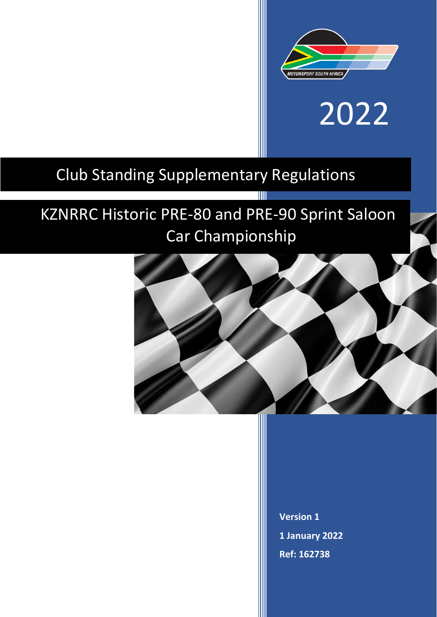

# 2022

### Club Standing Supplementary Regulations

## KZNRRC Historic PRE-80 and PRE-90 Sprint Saloon Car Championship

T



**Version 1 1 January 2022 Ref: 162738**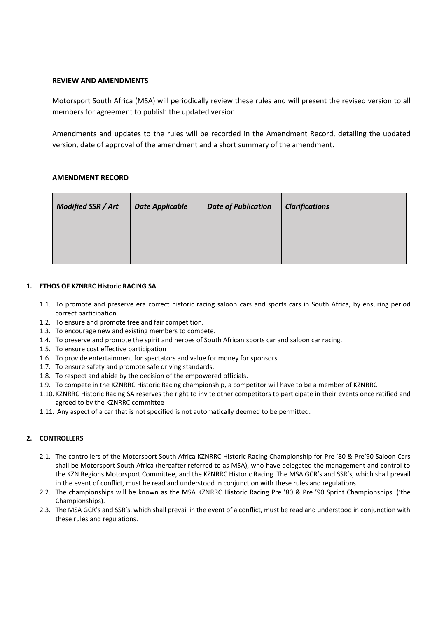#### **REVIEW AND AMENDMENTS**

Motorsport South Africa (MSA) will periodically review these rules and will present the revised version to all members for agreement to publish the updated version.

Amendments and updates to the rules will be recorded in the Amendment Record, detailing the updated version, date of approval of the amendment and a short summary of the amendment.

#### **AMENDMENT RECORD**

| <b>Modified SSR / Art</b> | <b>Date Applicable</b> | <b>Date of Publication</b> | <b>Clarifications</b> |
|---------------------------|------------------------|----------------------------|-----------------------|
|                           |                        |                            |                       |

#### **1. ETHOS OF KZNRRC Historic RACING SA**

- 1.1. To promote and preserve era correct historic racing saloon cars and sports cars in South Africa, by ensuring period correct participation.
- 1.2. To ensure and promote free and fair competition.
- 1.3. To encourage new and existing members to compete.
- 1.4. To preserve and promote the spirit and heroes of South African sports car and saloon car racing.
- 1.5. To ensure cost effective participation
- 1.6. To provide entertainment for spectators and value for money for sponsors.
- 1.7. To ensure safety and promote safe driving standards.
- 1.8. To respect and abide by the decision of the empowered officials.
- 1.9. To compete in the KZNRRC Historic Racing championship, a competitor will have to be a member of KZNRRC
- 1.10. KZNRRC Historic Racing SA reserves the right to invite other competitors to participate in their events once ratified and agreed to by the KZNRRC committee
- 1.11. Any aspect of a car that is not specified is not automatically deemed to be permitted.

#### **2. CONTROLLERS**

- 2.1. The controllers of the Motorsport South Africa KZNRRC Historic Racing Championship for Pre '80 & Pre'90 Saloon Cars shall be Motorsport South Africa (hereafter referred to as MSA), who have delegated the management and control to the KZN Regions Motorsport Committee, and the KZNRRC Historic Racing. The MSA GCR's and SSR's, which shall prevail in the event of conflict, must be read and understood in conjunction with these rules and regulations.
- 2.2. The championships will be known as the MSA KZNRRC Historic Racing Pre '80 & Pre '90 Sprint Championships. ('the Championships).
- 2.3. The MSA GCR's and SSR's, which shall prevail in the event of a conflict, must be read and understood in conjunction with these rules and regulations.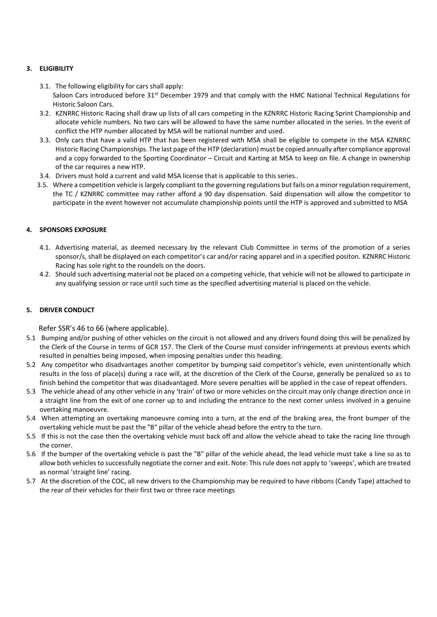#### **3. ELIGIBILITY**

- 3.1. The following eligibility for cars shall apply: Saloon Cars introduced before 31<sup>st</sup> December 1979 and that comply with the HMC National Technical Regulations for Historic Saloon Cars.
- 3.2. KZNRRC Historic Racing shall draw up lists of all cars competing in the KZNRRC Historic Racing Sprint Championship and allocate vehicle numbers. No two cars will be allowed to have the same number allocated in the series. In the event of conflict the HTP number allocated by MSA will be national number and used.
- 3.3. Only cars that have a valid HTP that has been registered with MSA shall be eligible to compete in the MSA KZNRRC Historic Racing Championships. The last page of the HTP (declaration) must be copied annually after compliance approval and a copy forwarded to the Sporting Coordinator – Circuit and Karting at MSA to keep on file. A change in ownership of the car requires a new HTP.
- 3.4. Drivers must hold a current and valid MSA license that is applicable to this series..
- 3.5. Where a competition vehicle is largely compliant to the governing regulations but fails on a minor regulation requirement, the TC / KZNRRC committee may rather afford a 90 day dispensation. Said dispensation will allow the competitor to participate in the event however not accumulate championship points until the HTP is approved and submitted to MSA

#### **4. SPONSORS EXPOSURE**

- 4.1. Advertising material, as deemed necessary by the relevant Club Committee in terms of the promotion of a series sponsor/s, shall be displayed on each competitor's car and/or racing apparel and in a specified positon. KZNRRC Historic Racing has sole right to the roundels on the doors.
- 4.2. Should such advertising material not be placed on a competing vehicle, that vehicle will not be allowed to participate in any qualifying session or race until such time as the specified advertising material is placed on the vehicle.

#### **5. DRIVER CONDUCT**

Refer SSR's 46 to 66 (where applicable).

- 5.1 Bumping and/or pushing of other vehicles on the circuit is not allowed and any drivers found doing this will be penalized by the Clerk of the Course in terms of GCR 157. The Clerk of the Course must consider infringements at previous events which resulted in penalties being imposed, when imposing penalties under this heading.
- 5.2 Any competitor who disadvantages another competitor by bumping said competitor's vehicle, even unintentionally which results in the loss of place(s) during a race will, at the discretion of the Clerk of the Course, generally be penalized so as to finish behind the competitor that was disadvantaged. More severe penalties will be applied in the case of repeat offenders.
- 5.3 The vehicle ahead of any other vehicle in any 'train' of two or more vehicles on the circuit may only change direction once in a straight line from the exit of one corner up to and including the entrance to the next corner unless involved in a genuine overtaking manoeuvre.
- 5.4 When attempting an overtaking manoeuvre coming into a turn, at the end of the braking area, the front bumper of the overtaking vehicle must be past the "B" pillar of the vehicle ahead before the entry to the turn.
- 5.5 If this is not the case then the overtaking vehicle must back off and allow the vehicle ahead to take the racing line through the corner.
- 5.6 If the bumper of the overtaking vehicle is past the "B" pillar of the vehicle ahead, the lead vehicle must take a line so as to allow both vehicles to successfully negotiate the corner and exit. Note: This rule does not apply to 'sweeps', which are treated as normal 'straight line' racing.
- 5.7 At the discretion of the COC, all new drivers to the Championship may be required to have ribbons (Candy Tape) attached to the rear of their vehicles for their first two or three race meetings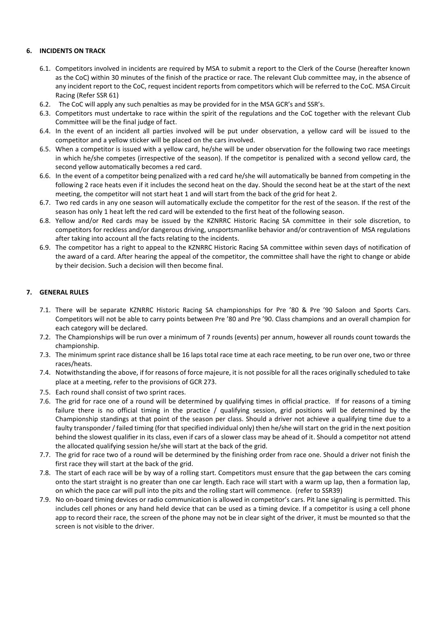#### **6. INCIDENTS ON TRACK**

- 6.1. Competitors involved in incidents are required by MSA to submit a report to the Clerk of the Course (hereafter known as the CoC) within 30 minutes of the finish of the practice or race. The relevant Club committee may, in the absence of any incident report to the CoC, request incident reports from competitors which will be referred to the CoC. MSA Circuit Racing (Refer SSR 61)
- 6.2. The CoC will apply any such penalties as may be provided for in the MSA GCR's and SSR's.
- 6.3. Competitors must undertake to race within the spirit of the regulations and the CoC together with the relevant Club Committee will be the final judge of fact.
- 6.4. In the event of an incident all parties involved will be put under observation, a yellow card will be issued to the competitor and a yellow sticker will be placed on the cars involved.
- 6.5. When a competitor is issued with a yellow card, he/she will be under observation for the following two race meetings in which he/she competes (irrespective of the season). If the competitor is penalized with a second yellow card, the second yellow automatically becomes a red card.
- 6.6. In the event of a competitor being penalized with a red card he/she will automatically be banned from competing in the following 2 race heats even if it includes the second heat on the day. Should the second heat be at the start of the next meeting, the competitor will not start heat 1 and will start from the back of the grid for heat 2.
- 6.7. Two red cards in any one season will automatically exclude the competitor for the rest of the season. If the rest of the season has only 1 heat left the red card will be extended to the first heat of the following season.
- 6.8. Yellow and/or Red cards may be issued by the KZNRRC Historic Racing SA committee in their sole discretion, to competitors for reckless and/or dangerous driving, unsportsmanlike behavior and/or contravention of MSA regulations after taking into account all the facts relating to the incidents.
- 6.9. The competitor has a right to appeal to the KZNRRC Historic Racing SA committee within seven days of notification of the award of a card. After hearing the appeal of the competitor, the committee shall have the right to change or abide by their decision. Such a decision will then become final.

#### **7. GENERAL RULES**

- 7.1. There will be separate KZNRRC Historic Racing SA championships for Pre '80 & Pre '90 Saloon and Sports Cars. Competitors will not be able to carry points between Pre '80 and Pre '90. Class champions and an overall champion for each category will be declared.
- 7.2. The Championships will be run over a minimum of 7 rounds (events) per annum, however all rounds count towards the championship.
- 7.3. The minimum sprint race distance shall be 16 laps total race time at each race meeting, to be run over one, two or three races/heats.
- 7.4. Notwithstanding the above, if for reasons of force majeure, it is not possible for all the races originally scheduled to take place at a meeting, refer to the provisions of GCR 273.
- 7.5. Each round shall consist of two sprint races.
- 7.6. The grid for race one of a round will be determined by qualifying times in official practice. If for reasons of a timing failure there is no official timing in the practice / qualifying session, grid positions will be determined by the Championship standings at that point of the season per class. Should a driver not achieve a qualifying time due to a faulty transponder / failed timing (for that specified individual only) then he/she will start on the grid in the next position behind the slowest qualifier in its class, even if cars of a slower class may be ahead of it. Should a competitor not attend the allocated qualifying session he/she will start at the back of the grid.
- 7.7. The grid for race two of a round will be determined by the finishing order from race one. Should a driver not finish the first race they will start at the back of the grid.
- 7.8. The start of each race will be by way of a rolling start. Competitors must ensure that the gap between the cars coming onto the start straight is no greater than one car length. Each race will start with a warm up lap, then a formation lap, on which the pace car will pull into the pits and the rolling start will commence. (refer to SSR39)
- 7.9. No on-board timing devices or radio communication is allowed in competitor's cars. Pit lane signaling is permitted. This includes cell phones or any hand held device that can be used as a timing device. If a competitor is using a cell phone app to record their race, the screen of the phone may not be in clear sight of the driver, it must be mounted so that the screen is not visible to the driver.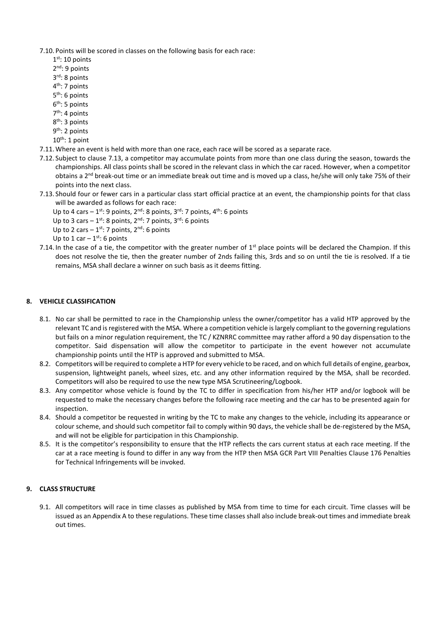7.10. Points will be scored in classes on the following basis for each race:

- 1st: 10 points
- 2<sup>nd</sup>: 9 points
- 3 rd: 8 points
- 4<sup>th</sup>: 7 points
- 5<sup>th</sup>: 6 points
- 6<sup>th</sup>: 5 points
- 7<sup>th</sup>: 4 points
- 8<sup>th</sup>: 3 points
- 9<sup>th</sup>: 2 points
- $10^{th}$ : 1 point
- 7.11.Where an event is held with more than one race, each race will be scored as a separate race.
- 7.12. Subject to clause 7.13, a competitor may accumulate points from more than one class during the season, towards the championships. All class points shall be scored in the relevant class in which the car raced. However, when a competitor obtains a 2<sup>nd</sup> break-out time or an immediate break out time and is moved up a class, he/she will only take 75% of their points into the next class.
- 7.13. Should four or fewer cars in a particular class start official practice at an event, the championship points for that class will be awarded as follows for each race:
	- Up to 4 cars  $-1^{st}$ : 9 points, 2<sup>nd</sup>: 8 points, 3<sup>rd</sup>: 7 points, 4<sup>th</sup>: 6 points
	- Up to 3 cars  $-1$ <sup>st</sup>: 8 points, 2<sup>nd</sup>: 7 points, 3<sup>rd</sup>: 6 points
	- Up to 2 cars  $-1^{st}$ : 7 points, 2<sup>nd</sup>: 6 points
	- Up to 1 car  $-1$ <sup>st</sup>: 6 points
- 7.14. In the case of a tie, the competitor with the greater number of  $1<sup>st</sup>$  place points will be declared the Champion. If this does not resolve the tie, then the greater number of 2nds failing this, 3rds and so on until the tie is resolved. If a tie remains, MSA shall declare a winner on such basis as it deems fitting.

#### **8. VEHICLE CLASSIFICATION**

- 8.1. No car shall be permitted to race in the Championship unless the owner/competitor has a valid HTP approved by the relevant TC and is registered with the MSA. Where a competition vehicle is largely compliant to the governing regulations but fails on a minor regulation requirement, the TC / KZNRRC committee may rather afford a 90 day dispensation to the competitor. Said dispensation will allow the competitor to participate in the event however not accumulate championship points until the HTP is approved and submitted to MSA.
- 8.2. Competitors will be required to complete a HTP for every vehicle to be raced, and on which full details of engine, gearbox, suspension, lightweight panels, wheel sizes, etc. and any other information required by the MSA, shall be recorded. Competitors will also be required to use the new type MSA Scrutineering/Logbook.
- 8.3. Any competitor whose vehicle is found by the TC to differ in specification from his/her HTP and/or logbook will be requested to make the necessary changes before the following race meeting and the car has to be presented again for inspection.
- 8.4. Should a competitor be requested in writing by the TC to make any changes to the vehicle, including its appearance or colour scheme, and should such competitor fail to comply within 90 days, the vehicle shall be de-registered by the MSA, and will not be eligible for participation in this Championship.
- 8.5. It is the competitor's responsibility to ensure that the HTP reflects the cars current status at each race meeting. If the car at a race meeting is found to differ in any way from the HTP then MSA GCR Part VIII Penalties Clause 176 Penalties for Technical Infringements will be invoked.

#### **9. CLASS STRUCTURE**

9.1. All competitors will race in time classes as published by MSA from time to time for each circuit. Time classes will be issued as an Appendix A to these regulations. These time classes shall also include break-out times and immediate break out times.